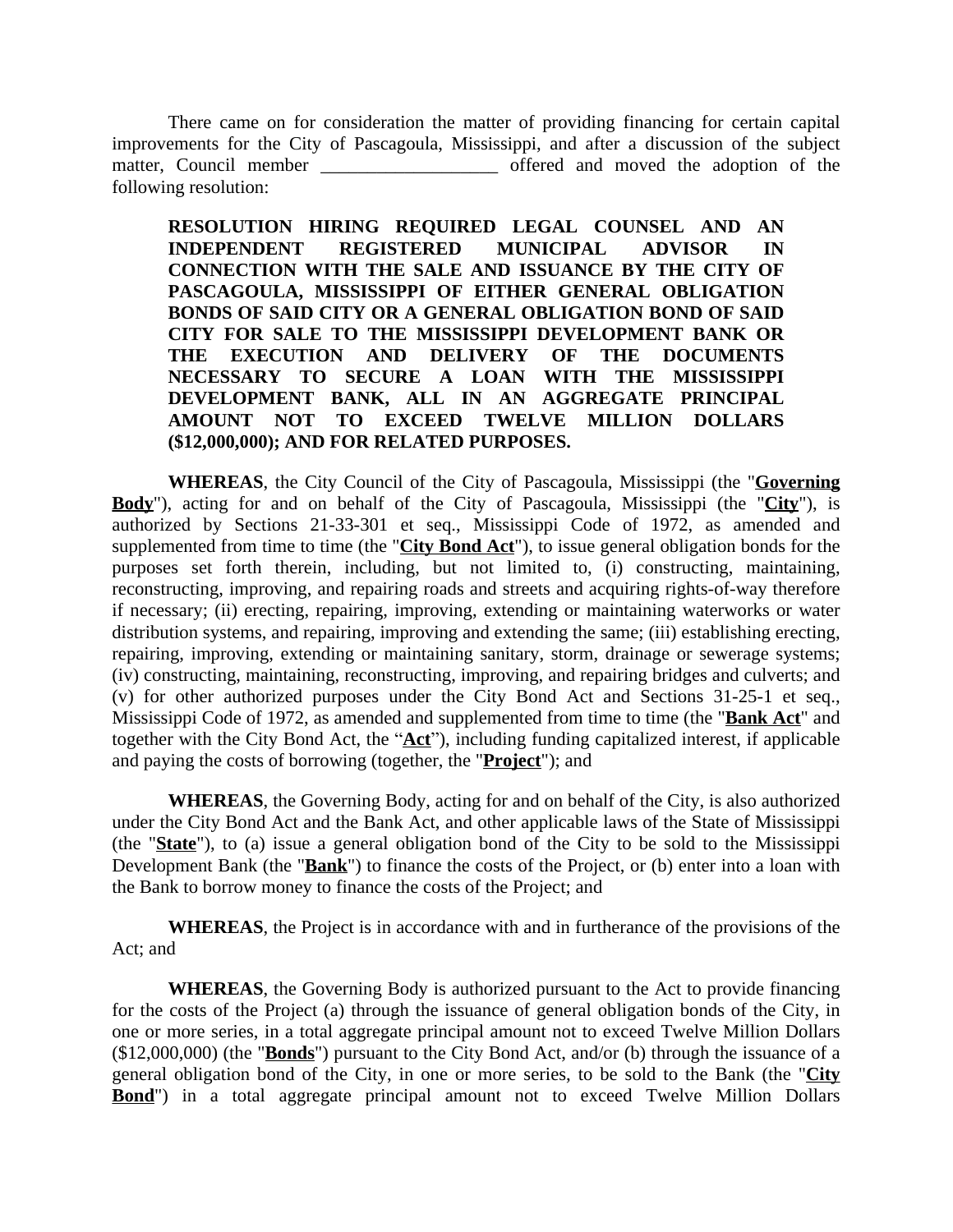There came on for consideration the matter of providing financing for certain capital improvements for the City of Pascagoula, Mississippi, and after a discussion of the subject matter, Council member offered and moved the adoption of the following resolution:

**RESOLUTION HIRING REQUIRED LEGAL COUNSEL AND AN INDEPENDENT REGISTERED MUNICIPAL ADVISOR IN CONNECTION WITH THE SALE AND ISSUANCE BY THE CITY OF PASCAGOULA, MISSISSIPPI OF EITHER GENERAL OBLIGATION BONDS OF SAID CITY OR A GENERAL OBLIGATION BOND OF SAID CITY FOR SALE TO THE MISSISSIPPI DEVELOPMENT BANK OR THE EXECUTION AND DELIVERY OF THE DOCUMENTS NECESSARY TO SECURE A LOAN WITH THE MISSISSIPPI DEVELOPMENT BANK, ALL IN AN AGGREGATE PRINCIPAL AMOUNT NOT TO EXCEED TWELVE MILLION DOLLARS (\$12,000,000); AND FOR RELATED PURPOSES.**

**WHEREAS**, the City Council of the City of Pascagoula, Mississippi (the "**Governing Body**"), acting for and on behalf of the City of Pascagoula, Mississippi (the "**City**"), is authorized by Sections 21-33-301 et seq., Mississippi Code of 1972, as amended and supplemented from time to time (the "**City Bond Act**"), to issue general obligation bonds for the purposes set forth therein, including, but not limited to, (i) constructing, maintaining, reconstructing, improving, and repairing roads and streets and acquiring rights-of-way therefore if necessary; (ii) erecting, repairing, improving, extending or maintaining waterworks or water distribution systems, and repairing, improving and extending the same; (iii) establishing erecting, repairing, improving, extending or maintaining sanitary, storm, drainage or sewerage systems; (iv) constructing, maintaining, reconstructing, improving, and repairing bridges and culverts; and (v) for other authorized purposes under the City Bond Act and Sections 31-25-1 et seq., Mississippi Code of 1972, as amended and supplemented from time to time (the "**Bank Act**" and together with the City Bond Act, the "**Act**"), including funding capitalized interest, if applicable and paying the costs of borrowing (together, the "**Project**"); and

**WHEREAS**, the Governing Body, acting for and on behalf of the City, is also authorized under the City Bond Act and the Bank Act, and other applicable laws of the State of Mississippi (the "**State**"), to (a) issue a general obligation bond of the City to be sold to the Mississippi Development Bank (the "**Bank**") to finance the costs of the Project, or (b) enter into a loan with the Bank to borrow money to finance the costs of the Project; and

**WHEREAS**, the Project is in accordance with and in furtherance of the provisions of the Act; and

**WHEREAS**, the Governing Body is authorized pursuant to the Act to provide financing for the costs of the Project (a) through the issuance of general obligation bonds of the City, in one or more series, in a total aggregate principal amount not to exceed Twelve Million Dollars (\$12,000,000) (the "**Bonds**") pursuant to the City Bond Act, and/or (b) through the issuance of a general obligation bond of the City, in one or more series, to be sold to the Bank (the "**City Bond**") in a total aggregate principal amount not to exceed Twelve Million Dollars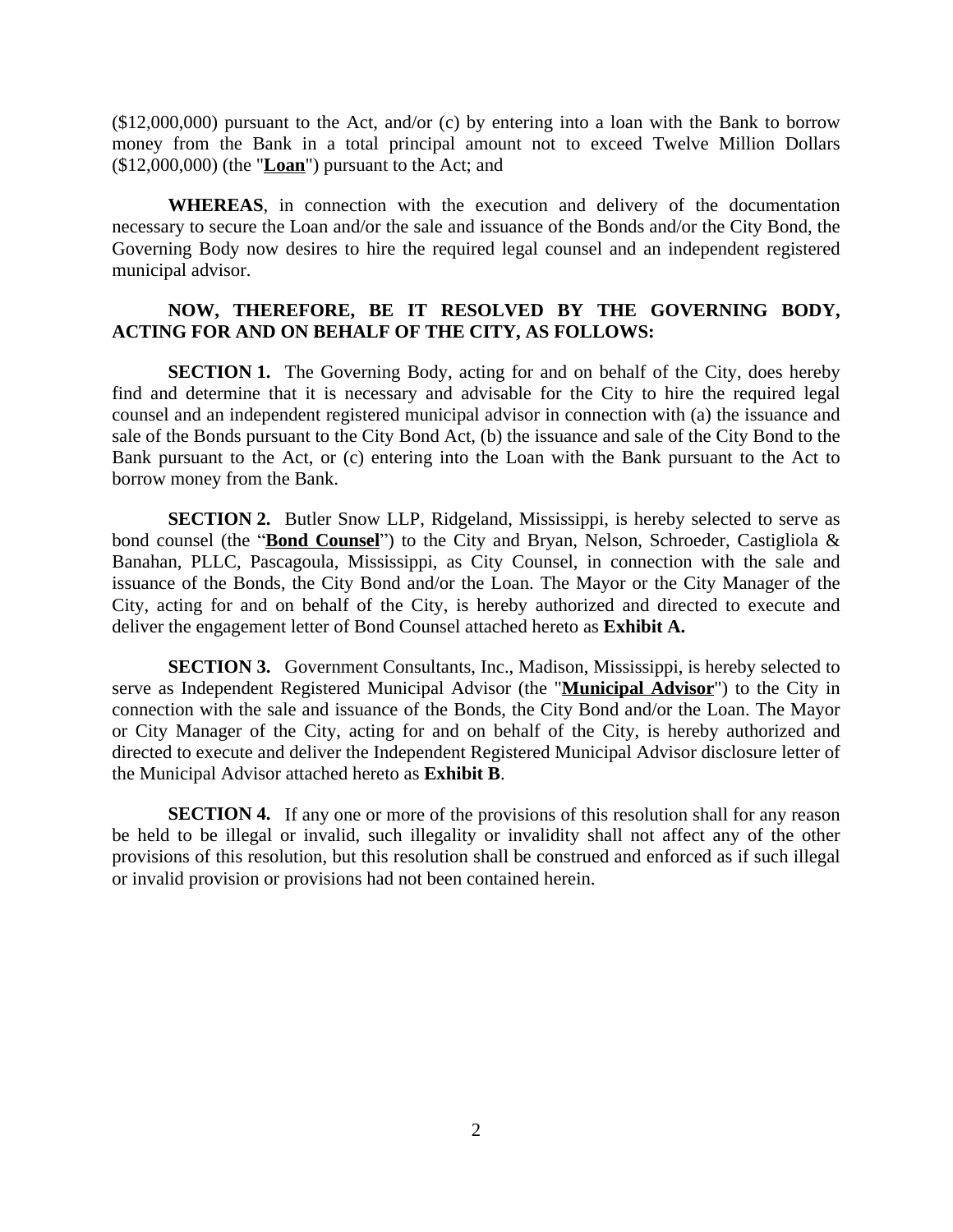(\$12,000,000) pursuant to the Act, and/or (c) by entering into a loan with the Bank to borrow money from the Bank in a total principal amount not to exceed Twelve Million Dollars (\$12,000,000) (the "**Loan**") pursuant to the Act; and

**WHEREAS**, in connection with the execution and delivery of the documentation necessary to secure the Loan and/or the sale and issuance of the Bonds and/or the City Bond, the Governing Body now desires to hire the required legal counsel and an independent registered municipal advisor.

## **NOW, THEREFORE, BE IT RESOLVED BY THE GOVERNING BODY, ACTING FOR AND ON BEHALF OF THE CITY, AS FOLLOWS:**

**SECTION 1.** The Governing Body, acting for and on behalf of the City, does hereby find and determine that it is necessary and advisable for the City to hire the required legal counsel and an independent registered municipal advisor in connection with (a) the issuance and sale of the Bonds pursuant to the City Bond Act, (b) the issuance and sale of the City Bond to the Bank pursuant to the Act, or (c) entering into the Loan with the Bank pursuant to the Act to borrow money from the Bank.

**SECTION 2.** Butler Snow LLP, Ridgeland, Mississippi, is hereby selected to serve as bond counsel (the "**Bond Counsel**") to the City and Bryan, Nelson, Schroeder, Castigliola & Banahan, PLLC, Pascagoula, Mississippi, as City Counsel, in connection with the sale and issuance of the Bonds, the City Bond and/or the Loan. The Mayor or the City Manager of the City, acting for and on behalf of the City, is hereby authorized and directed to execute and deliver the engagement letter of Bond Counsel attached hereto as **Exhibit A.**

**SECTION 3.** Government Consultants, Inc., Madison, Mississippi, is hereby selected to serve as Independent Registered Municipal Advisor (the "**Municipal Advisor**") to the City in connection with the sale and issuance of the Bonds, the City Bond and/or the Loan. The Mayor or City Manager of the City, acting for and on behalf of the City, is hereby authorized and directed to execute and deliver the Independent Registered Municipal Advisor disclosure letter of the Municipal Advisor attached hereto as **Exhibit B**.

**SECTION 4.** If any one or more of the provisions of this resolution shall for any reason be held to be illegal or invalid, such illegality or invalidity shall not affect any of the other provisions of this resolution, but this resolution shall be construed and enforced as if such illegal or invalid provision or provisions had not been contained herein.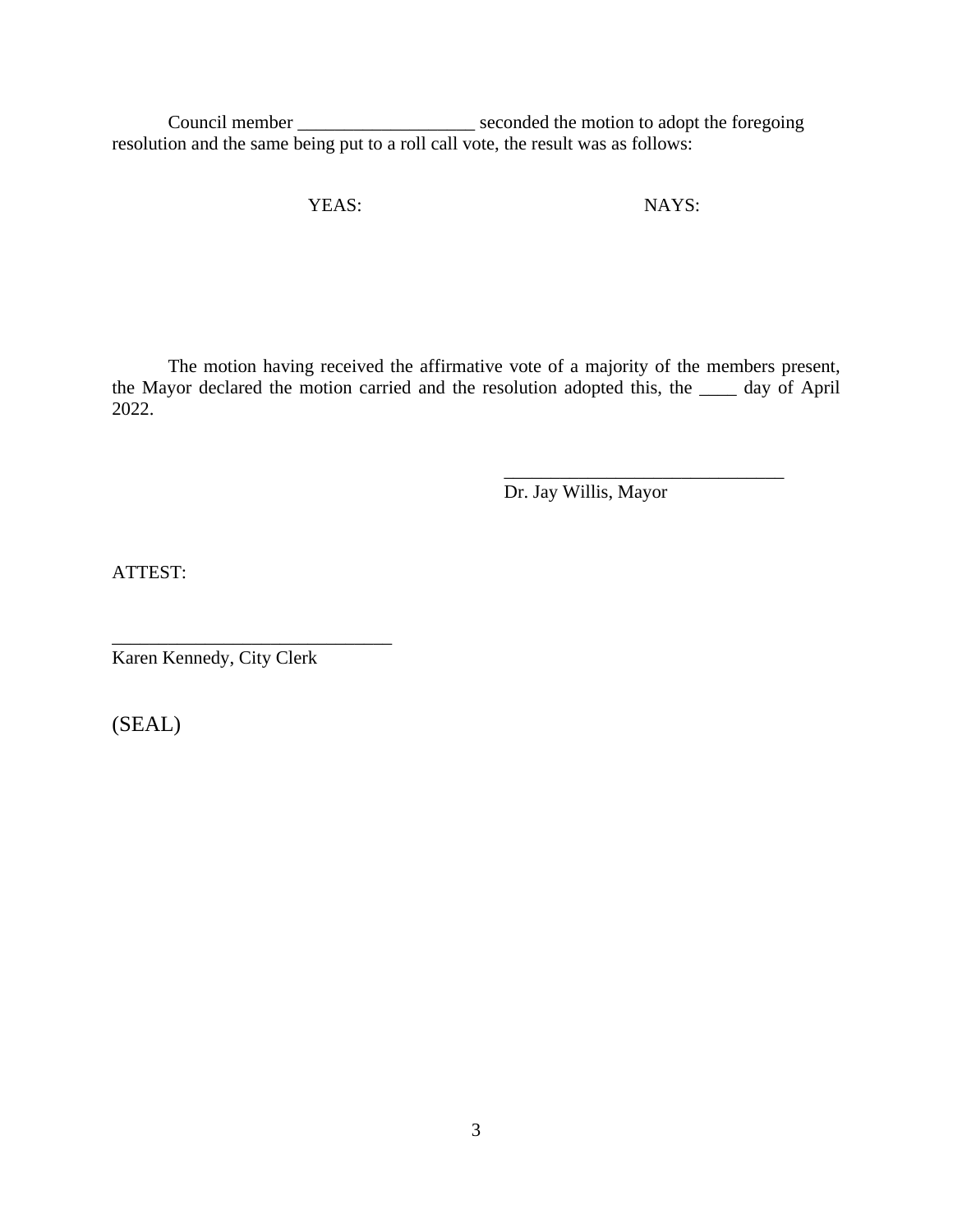Council member \_\_\_\_\_\_\_\_\_\_\_\_\_\_\_\_\_\_\_\_\_\_ seconded the motion to adopt the foregoing resolution and the same being put to a roll call vote, the result was as follows:

YEAS: NAYS:

The motion having received the affirmative vote of a majority of the members present, the Mayor declared the motion carried and the resolution adopted this, the \_\_\_\_ day of April 2022.

> \_\_\_\_\_\_\_\_\_\_\_\_\_\_\_\_\_\_\_\_\_\_\_\_\_\_\_\_\_\_ Dr. Jay Willis, Mayor

ATTEST:

\_\_\_\_\_\_\_\_\_\_\_\_\_\_\_\_\_\_\_\_\_\_\_\_\_\_\_\_\_\_ Karen Kennedy, City Clerk

(SEAL)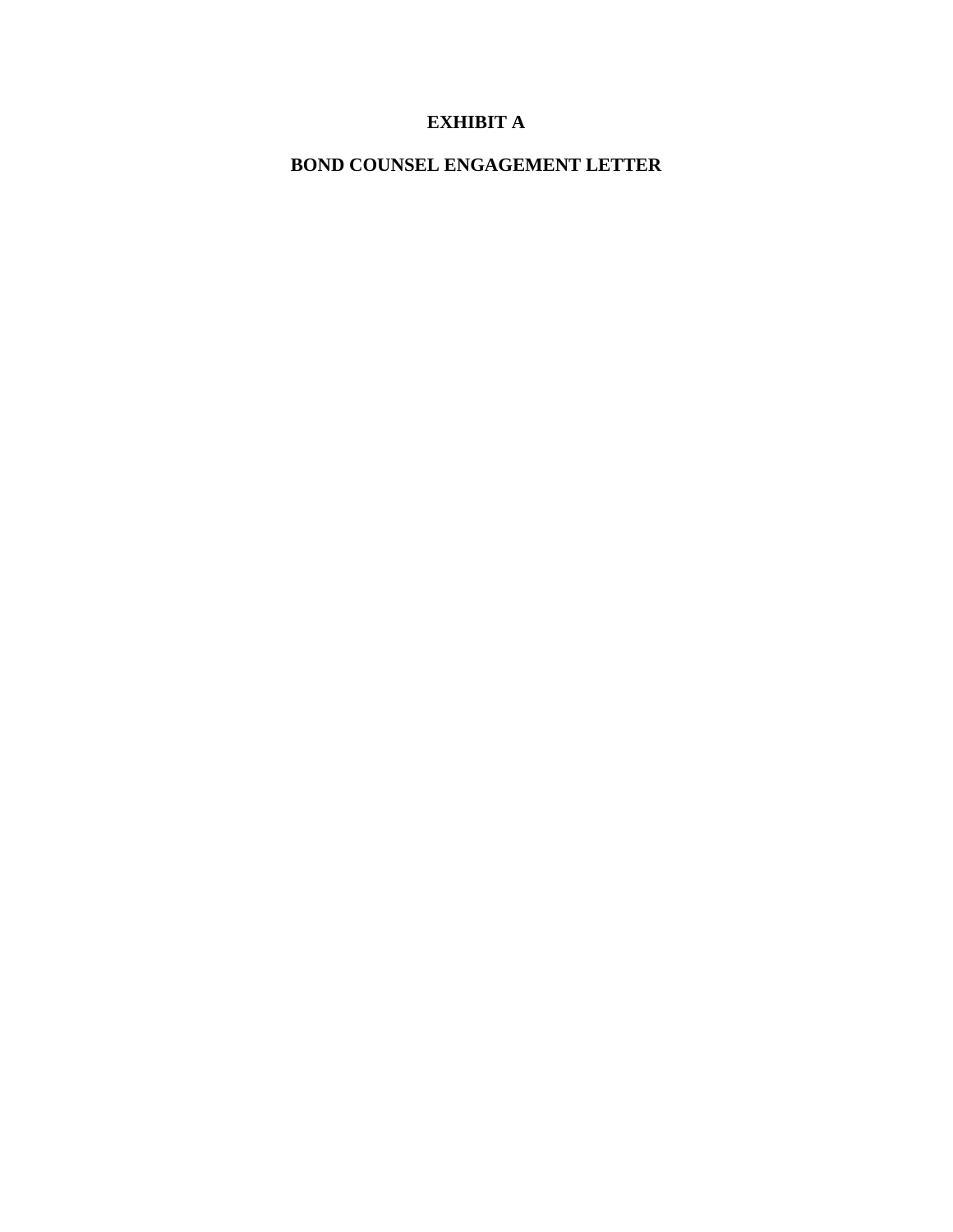## **EXHIBIT A**

**BOND COUNSEL ENGAGEMENT LETTER**